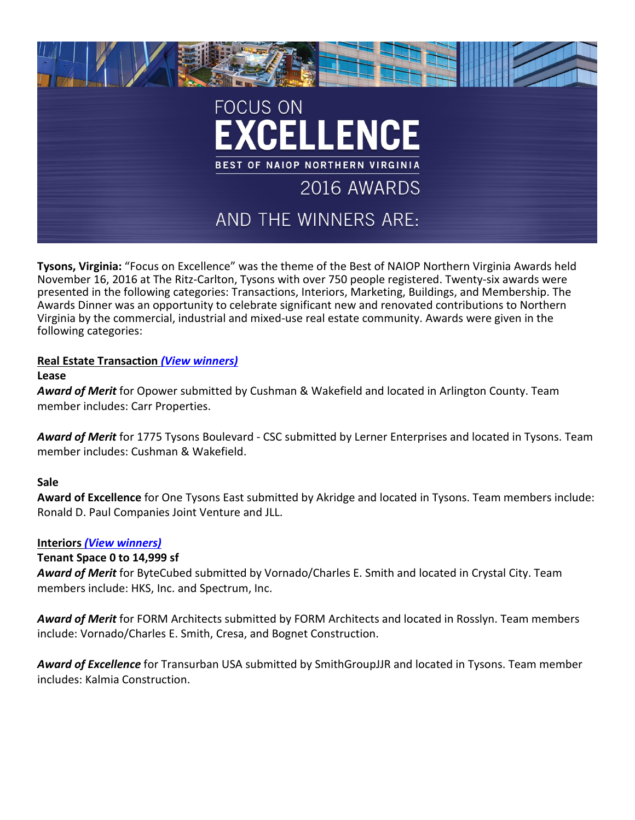

**Tysons, Virginia:** "Focus on Excellence" was the theme of the Best of NAIOP Northern Virginia Awards held November 16, 2016 at The Ritz-Carlton, Tysons with over 750 people registered. Twenty-six awards were presented in the following categories: Transactions, Interiors, Marketing, Buildings, and Membership. The Awards Dinner was an opportunity to celebrate significant new and renovated contributions to Northern Virginia by the commercial, industrial and mixed-use real estate community. Awards were given in the following categories:

# **Real Estate Transaction** *[\(View winners\)](http://www.naiopva.org/events/2016/Awards/2016NAIOP_Awards_Transactions.pdf)*

### **Lease**

*Award of Merit* for Opower submitted by Cushman & Wakefield and located in Arlington County. Team member includes: Carr Properties.

*Award of Merit* for 1775 Tysons Boulevard - CSC submitted by Lerner Enterprises and located in Tysons. Team member includes: Cushman & Wakefield.

## **Sale**

**Award of Excellence** for One Tysons East submitted by Akridge and located in Tysons. Team members include: Ronald D. Paul Companies Joint Venture and JLL.

## **Interiors** *[\(View winners\)](http://www.naiopva.org/events/2016/Awards/2016NAIOP_Awards_Interiors.pdf)*

## **Tenant Space 0 to 14,999 sf**

*Award of Merit* for ByteCubed submitted by Vornado/Charles E. Smith and located in Crystal City. Team members include: HKS, Inc. and Spectrum, Inc.

*Award of Merit* for FORM Architects submitted by FORM Architects and located in Rosslyn. Team members include: Vornado/Charles E. Smith, Cresa, and Bognet Construction.

*Award of Excellence* for Transurban USA submitted by SmithGroupJJR and located in Tysons. Team member includes: Kalmia Construction.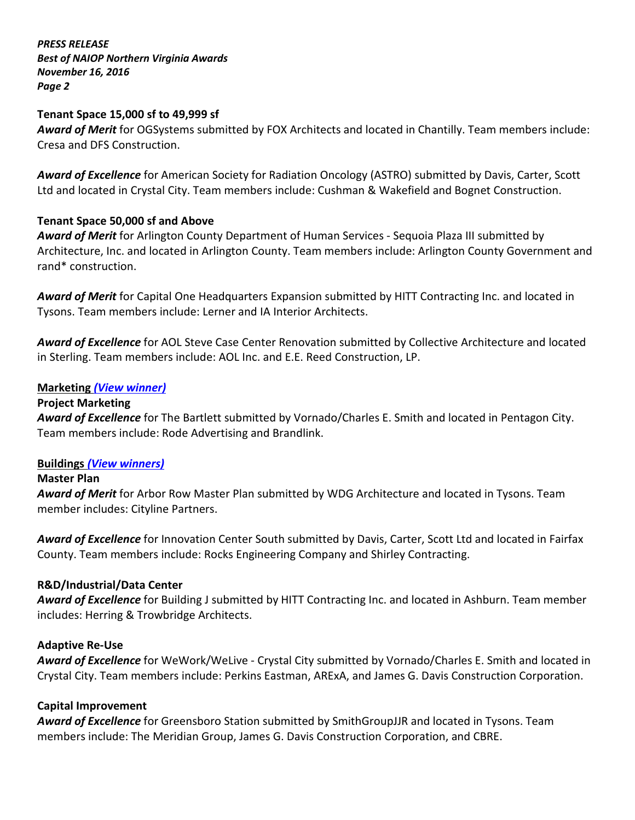*PRESS RELEASE Best of NAIOP Northern Virginia Awards November 16, 2016 Page 2*

### **Tenant Space 15,000 sf to 49,999 sf**

*Award of Merit* for OGSystems submitted by FOX Architects and located in Chantilly. Team members include: Cresa and DFS Construction.

*Award of Excellence* for American Society for Radiation Oncology (ASTRO) submitted by Davis, Carter, Scott Ltd and located in Crystal City. Team members include: Cushman & Wakefield and Bognet Construction.

## **Tenant Space 50,000 sf and Above**

*Award of Merit* for Arlington County Department of Human Services - Sequoia Plaza III submitted by Architecture, Inc. and located in Arlington County. Team members include: Arlington County Government and rand\* construction.

*Award of Merit* for Capital One Headquarters Expansion submitted by HITT Contracting Inc. and located in Tysons. Team members include: Lerner and IA Interior Architects.

*Award of Excellence* for AOL Steve Case Center Renovation submitted by Collective Architecture and located in Sterling. Team members include: AOL Inc. and E.E. Reed Construction, LP.

## **Marketing** *[\(View winner\)](http://www.naiopva.org/events/2016/Awards/2016NAIOP_Awards_Marketing.pdf)*

### **Project Marketing**

*Award of Excellence* for The Bartlett submitted by Vornado/Charles E. Smith and located in Pentagon City. Team members include: Rode Advertising and Brandlink.

### **Buildings** *[\(View winners\)](http://www.naiopva.org/events/2016/Awards/2016NAIOP_Awards_Buildings.pdf)*

### **Master Plan**

*Award of Merit* for Arbor Row Master Plan submitted by WDG Architecture and located in Tysons. Team member includes: Cityline Partners.

*Award of Excellence* for Innovation Center South submitted by Davis, Carter, Scott Ltd and located in Fairfax County. Team members include: Rocks Engineering Company and Shirley Contracting.

### **R&D/Industrial/Data Center**

*Award of Excellence* for Building J submitted by HITT Contracting Inc. and located in Ashburn. Team member includes: Herring & Trowbridge Architects.

### **Adaptive Re-Use**

*Award of Excellence* for WeWork/WeLive - Crystal City submitted by Vornado/Charles E. Smith and located in Crystal City. Team members include: Perkins Eastman, ARExA, and James G. Davis Construction Corporation.

### **Capital Improvement**

*Award of Excellence* for Greensboro Station submitted by SmithGroupJJR and located in Tysons. Team members include: The Meridian Group, James G. Davis Construction Corporation, and CBRE.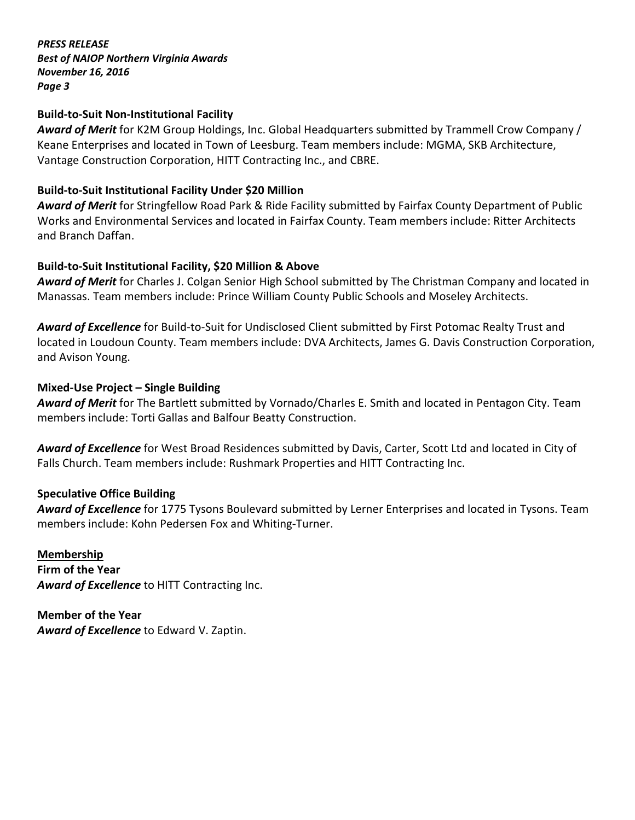*PRESS RELEASE Best of NAIOP Northern Virginia Awards November 16, 2016 Page 3*

## **Build-to-Suit Non-Institutional Facility**

*Award of Merit* for K2M Group Holdings, Inc. Global Headquarters submitted by Trammell Crow Company / Keane Enterprises and located in Town of Leesburg. Team members include: MGMA, SKB Architecture, Vantage Construction Corporation, HITT Contracting Inc., and CBRE.

## **Build-to-Suit Institutional Facility Under \$20 Million**

*Award of Merit* for Stringfellow Road Park & Ride Facility submitted by Fairfax County Department of Public Works and Environmental Services and located in Fairfax County. Team members include: Ritter Architects and Branch Daffan.

### **Build-to-Suit Institutional Facility, \$20 Million & Above**

*Award of Merit* for Charles J. Colgan Senior High School submitted by The Christman Company and located in Manassas. Team members include: Prince William County Public Schools and Moseley Architects.

*Award of Excellence* for Build-to-Suit for Undisclosed Client submitted by First Potomac Realty Trust and located in Loudoun County. Team members include: DVA Architects, James G. Davis Construction Corporation, and Avison Young.

### **Mixed-Use Project – Single Building**

*Award of Merit* for The Bartlett submitted by Vornado/Charles E. Smith and located in Pentagon City. Team members include: Torti Gallas and Balfour Beatty Construction.

*Award of Excellence* for West Broad Residences submitted by Davis, Carter, Scott Ltd and located in City of Falls Church. Team members include: Rushmark Properties and HITT Contracting Inc.

## **Speculative Office Building**

*Award of Excellence* for 1775 Tysons Boulevard submitted by Lerner Enterprises and located in Tysons. Team members include: Kohn Pedersen Fox and Whiting-Turner.

**Membership Firm of the Year** *Award of Excellence* to HITT Contracting Inc.

**Member of the Year** *Award of Excellence* to Edward V. Zaptin.